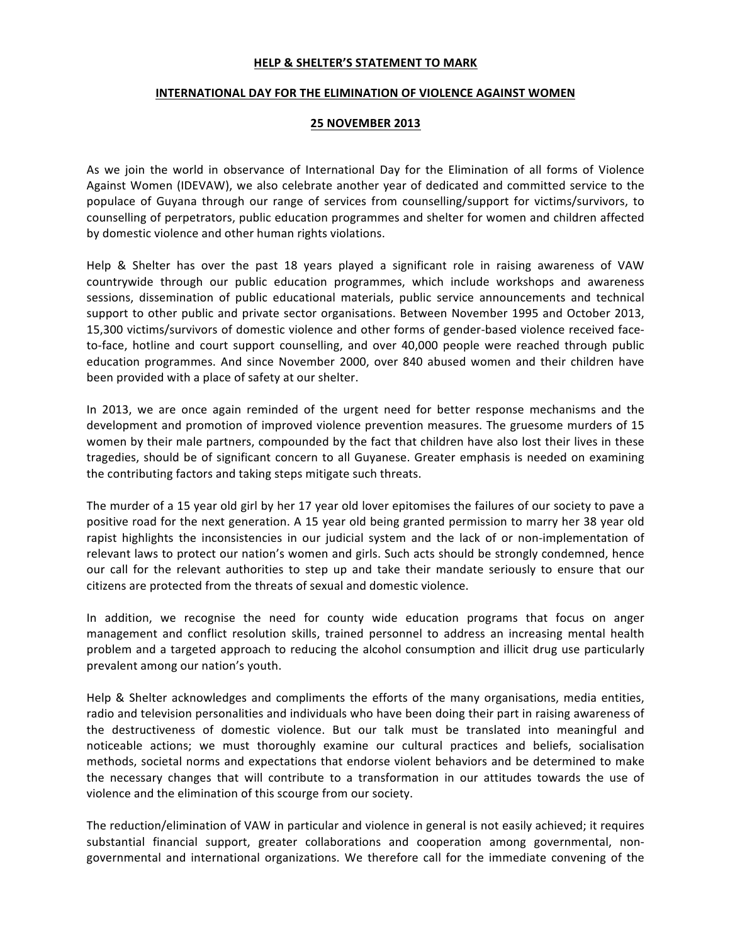## **HELP & SHELTER'S STATEMENT TO MARK**

## **INTERNATIONAL DAY FOR THE ELIMINATION OF VIOLENCE AGAINST WOMEN**

## **25 NOVEMBER 2013**

As we join the world in observance of International Day for the Elimination of all forms of Violence Against Women (IDEVAW), we also celebrate another year of dedicated and committed service to the populace of Guyana through our range of services from counselling/support for victims/survivors, to counselling of perpetrators, public education programmes and shelter for women and children affected by domestic violence and other human rights violations.

Help & Shelter has over the past 18 years played a significant role in raising awareness of VAW countrywide through our public education programmes, which include workshops and awareness sessions, dissemination of public educational materials, public service announcements and technical support to other public and private sector organisations. Between November 1995 and October 2013, 15,300 victims/survivors of domestic violence and other forms of gender-based violence received faceto-face, hotline and court support counselling, and over 40,000 people were reached through public education programmes. And since November 2000, over 840 abused women and their children have been provided with a place of safety at our shelter.

In 2013, we are once again reminded of the urgent need for better response mechanisms and the development and promotion of improved violence prevention measures. The gruesome murders of 15 women by their male partners, compounded by the fact that children have also lost their lives in these tragedies, should be of significant concern to all Guyanese. Greater emphasis is needed on examining the contributing factors and taking steps mitigate such threats.

The murder of a 15 year old girl by her 17 year old lover epitomises the failures of our society to pave a positive road for the next generation. A 15 year old being granted permission to marry her 38 year old rapist highlights the inconsistencies in our judicial system and the lack of or non-implementation of relevant laws to protect our nation's women and girls. Such acts should be strongly condemned, hence our call for the relevant authorities to step up and take their mandate seriously to ensure that our citizens are protected from the threats of sexual and domestic violence.

In addition, we recognise the need for county wide education programs that focus on anger management and conflict resolution skills, trained personnel to address an increasing mental health problem and a targeted approach to reducing the alcohol consumption and illicit drug use particularly prevalent among our nation's youth.

Help & Shelter acknowledges and compliments the efforts of the many organisations, media entities, radio and television personalities and individuals who have been doing their part in raising awareness of the destructiveness of domestic violence. But our talk must be translated into meaningful and noticeable actions; we must thoroughly examine our cultural practices and beliefs, socialisation methods, societal norms and expectations that endorse violent behaviors and be determined to make the necessary changes that will contribute to a transformation in our attitudes towards the use of violence and the elimination of this scourge from our society.

The reduction/elimination of VAW in particular and violence in general is not easily achieved; it requires substantial financial support, greater collaborations and cooperation among governmental, nongovernmental and international organizations. We therefore call for the immediate convening of the